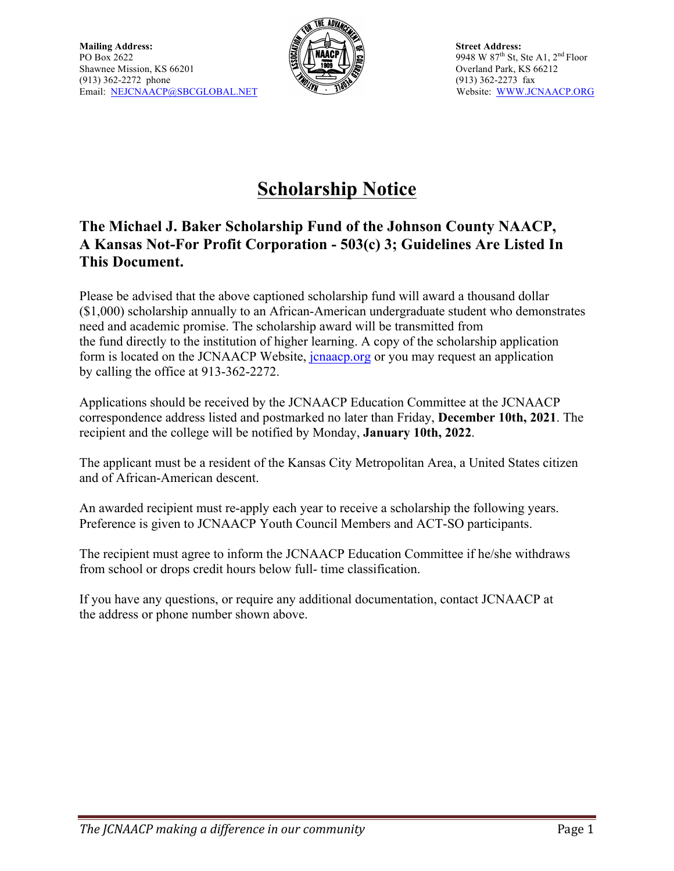

# **Scholarship Notice**

### **The Michael J. Baker Scholarship Fund of the Johnson County NAACP, A Kansas Not-For Profit Corporation - 503(c) 3; Guidelines Are Listed In This Document.**

Please be advised that the above captioned scholarship fund will award a thousand dollar (\$1,000) scholarship annually to an African-American undergraduate student who demonstrates need and academic promise. The scholarship award will be transmitted from the fund directly to the institution of higher learning. A copy of the scholarship application form is located on the JCNAACP Website, jcnaacp.org or you may request an application by calling the office at 913-362-2272.

Applications should be received by the JCNAACP Education Committee at the JCNAACP correspondence address listed and postmarked no later than Friday, **December 10th, 2021**. The recipient and the college will be notified by Monday, **January 10th, 2022**.

The applicant must be a resident of the Kansas City Metropolitan Area, a United States citizen and of African-American descent.

An awarded recipient must re-apply each year to receive a scholarship the following years. Preference is given to JCNAACP Youth Council Members and ACT-SO participants.

The recipient must agree to inform the JCNAACP Education Committee if he/she withdraws from school or drops credit hours below full- time classification.

If you have any questions, or require any additional documentation, contact JCNAACP at the address or phone number shown above.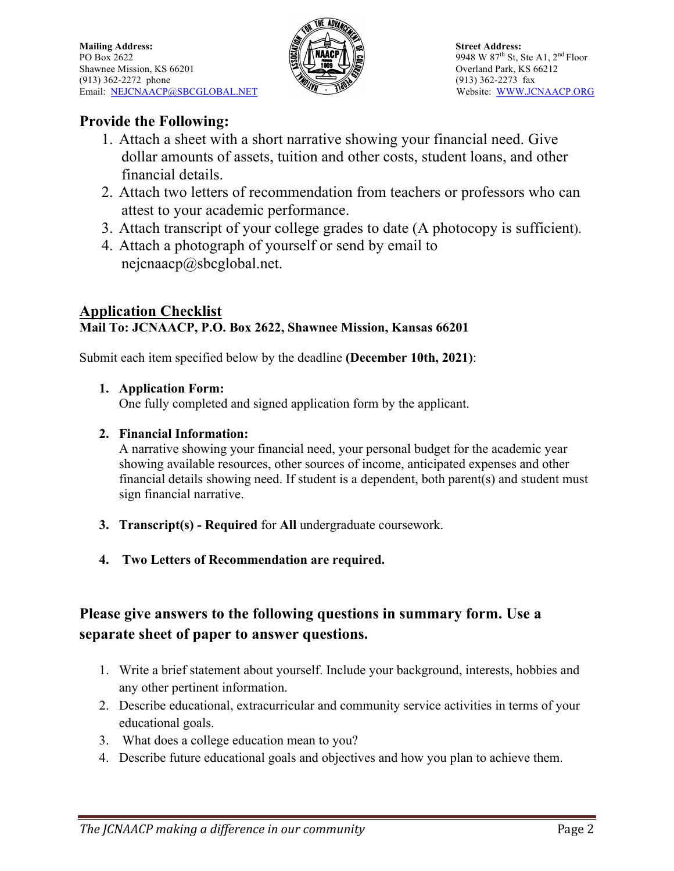

### **Provide the Following:**

- 1. Attach a sheet with a short narrative showing your financial need. Give dollar amounts of assets, tuition and other costs, student loans, and other financial details.
- 2. Attach two letters of recommendation from teachers or professors who can attest to your academic performance.
- 3. Attach transcript of your college grades to date (A photocopy is sufficient).
- 4. Attach a photograph of yourself or send by email to nejcnaacp@sbcglobal.net.

#### **Application Checklist Mail To: JCNAACP, P.O. Box 2622, Shawnee Mission, Kansas 66201**

Submit each item specified below by the deadline **(December 10th, 2021)**:

#### **1. Application Form:**

One fully completed and signed application form by the applicant.

#### **2. Financial Information:**

A narrative showing your financial need, your personal budget for the academic year showing available resources, other sources of income, anticipated expenses and other financial details showing need. If student is a dependent, both parent(s) and student must sign financial narrative.

- **3. Transcript(s) - Required** for **All** undergraduate coursework.
- **4. Two Letters of Recommendation are required.**

## **Please give answers to the following questions in summary form. Use a separate sheet of paper to answer questions.**

- 1. Write a brief statement about yourself. Include your background, interests, hobbies and any other pertinent information.
- 2. Describe educational, extracurricular and community service activities in terms of your educational goals.
- 3. What does a college education mean to you?
- 4. Describe future educational goals and objectives and how you plan to achieve them.